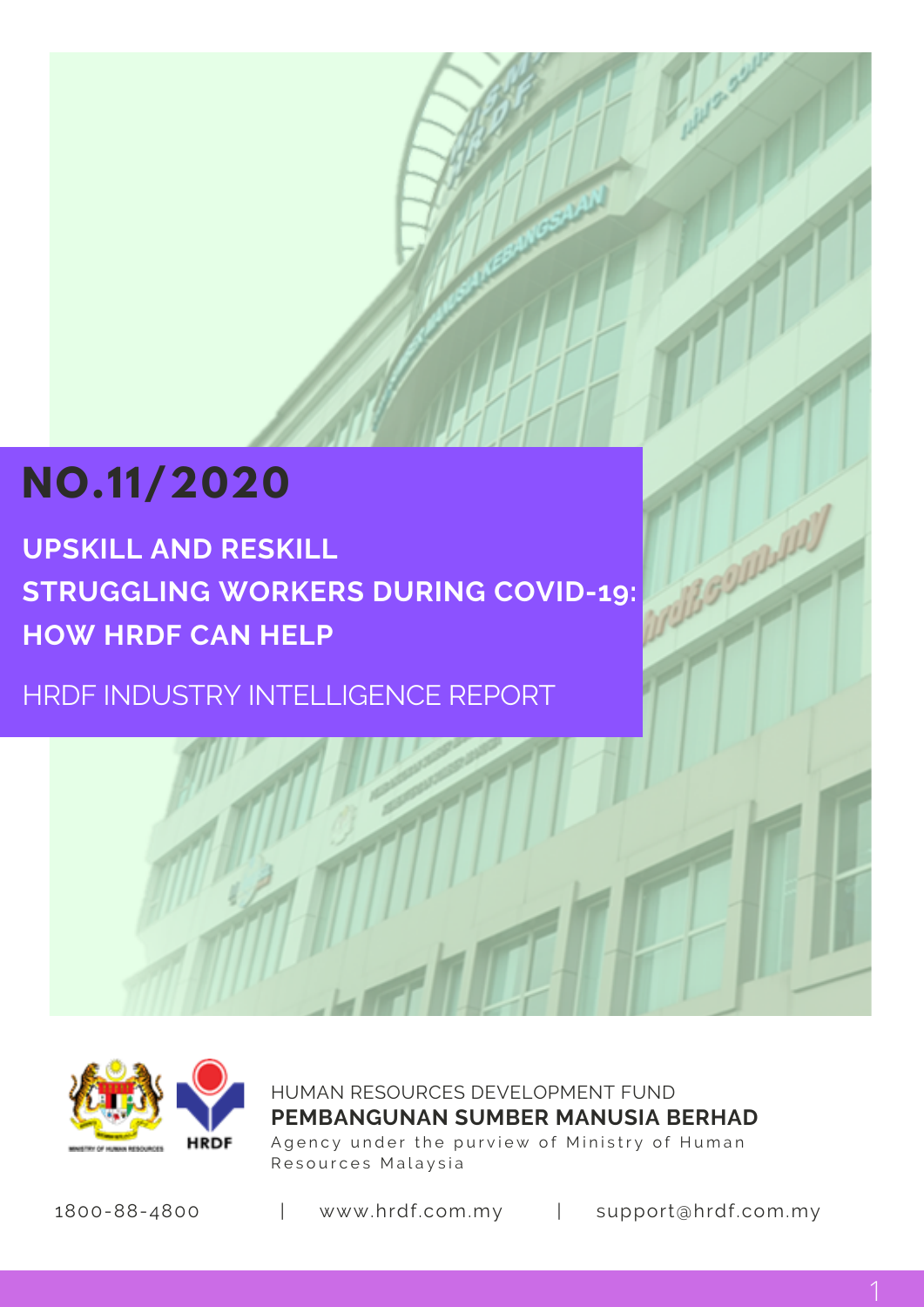# **NO.11/2020**

**UPSKILL AND RESKILL STRUGGLING WORKERS DURING COVID-19: HOW HRDF CAN HELP**

HRDF INDUSTRY INTELLIGENCE REPORT



HUMAN RESOURCES DEVELOPMENT FUND Agency under the purview of Ministry of Human Resources Malaysia **PEMBANGUNAN SUMBER MANUSIA BERHAD**

1800-88-4800 | www.hrdf.com.my | support@hrdf.com.my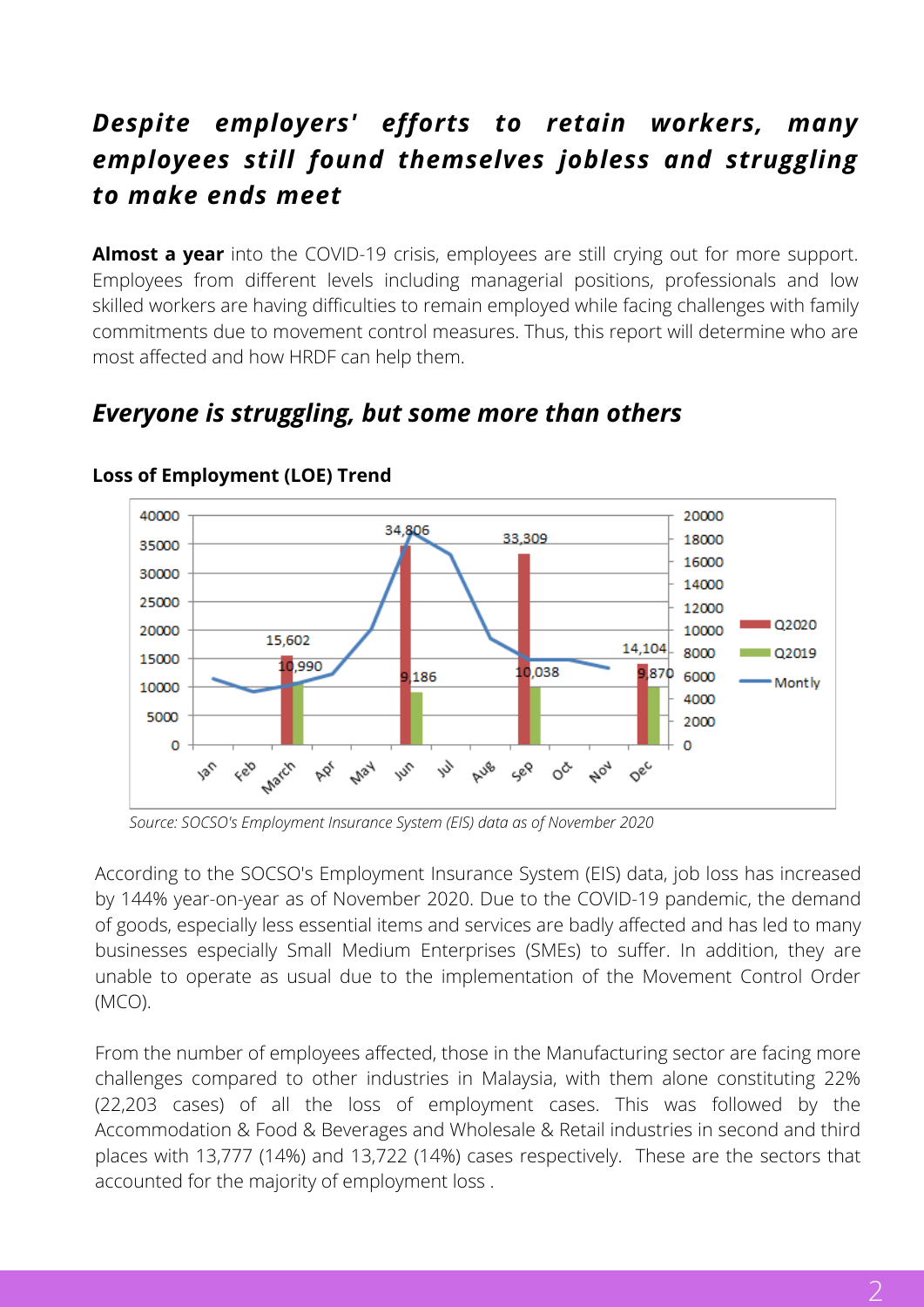# *Despite employers' efforts to retain workers, many employees still found themselves jobless and struggling to make ends meet*

**Almost a year** into the COVID-19 crisis, employees are still crying out for more support. Employees from different levels including managerial positions, professionals and low skilled workers are having difficulties to remain employed while facing challenges with family commitments due to movement control measures. Thus, this report will determine who are most affected and how HRDF can help them.

#### 40000 20000 34,806 33.309 18000 35000 16000 30000 14000 25000 12000  $02020$ 20000 10000 15.602 14,104 8000 Q2019 15000 10,990 0,038 9,870 6000 186 \* Mont lv 10000 4000 5000 2000 O n Aug Feb March AP May w Sep  $\circ^{\check{c}}$ Nov Dec ls:

# *Everyone is struggling, but some more than others*

**Loss of Employment (LOE) Trend**

*Source: SOCSO's Employment Insurance System (EIS) data as of November 2020*

According to the SOCSO's Employment Insurance System (EIS) data, job loss has increased by 144% year-on-year as of November 2020. Due to the COVID-19 pandemic, the demand of goods, especially less essential items and services are badly affected and has led to many businesses especially Small Medium Enterprises (SMEs) to suffer. In addition, they are unable to operate as usual due to the implementation of the Movement Control Order (MCO).

From the number of employees affected, those in the Manufacturing sector are facing more challenges compared to other industries in Malaysia, with them alone constituting 22% (22,203 cases) of all the loss of employment cases. This was followed by the Accommodation & Food & Beverages and Wholesale & Retail industries in second and third places with 13,777 (14%) and 13,722 (14%) cases respectively. These are the sectors that accounted for the majority of employment loss .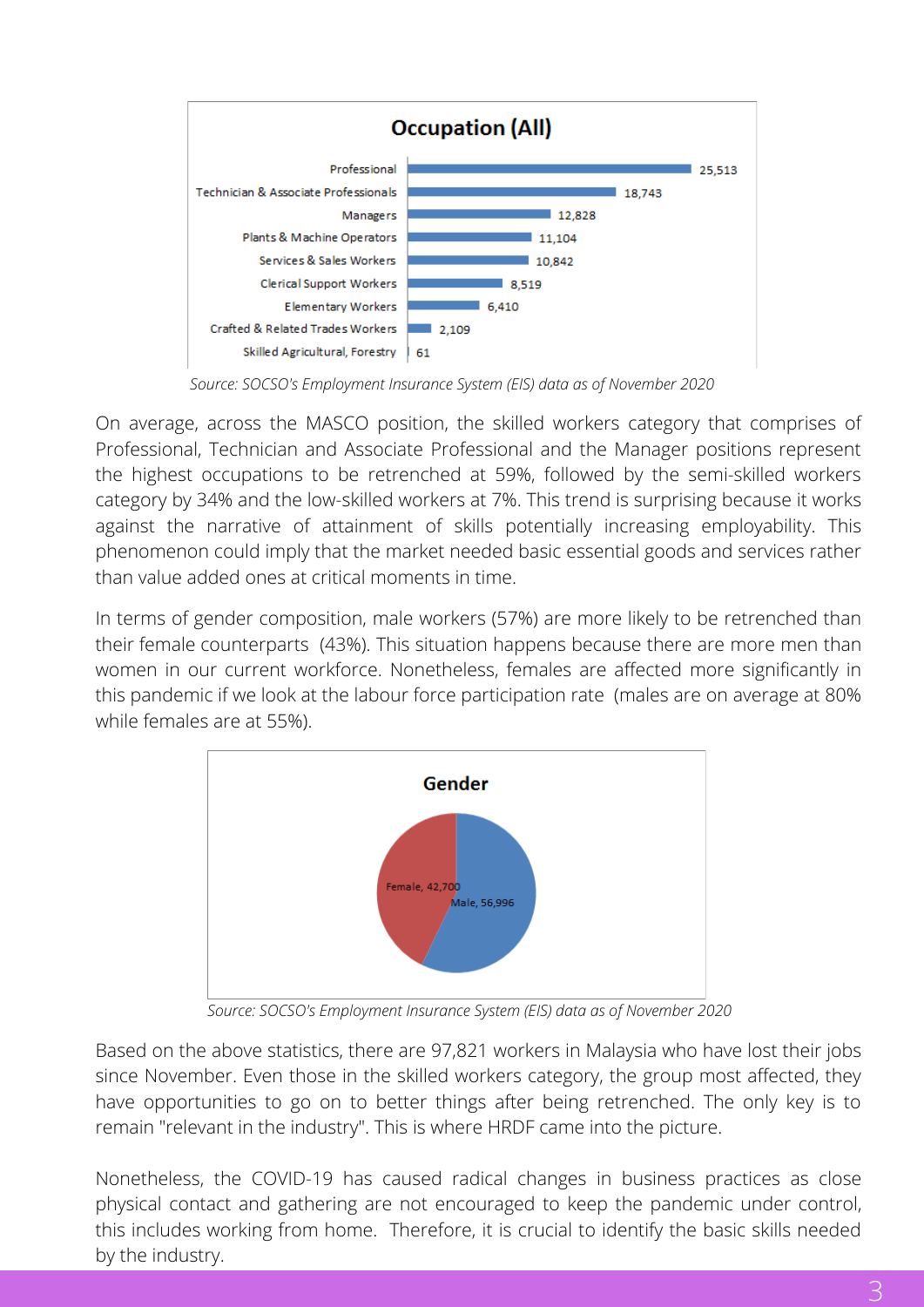

*Source: SOCSO's Employment Insurance System (EIS) data as of November 2020*

On average, across the MASCO position, the skilled workers category that comprises of Professional, Technician and Associate Professional and the Manager positions represent the highest occupations to be retrenched at 59%, followed by the semi-skilled workers category by 34% and the low-skilled workers at 7%. This trend is surprising because it works against the narrative of attainment of skills potentially increasing employability. This phenomenon could imply that the market needed basic essential goods and services rather than value added ones at critical moments in time.

In terms of gender composition, male workers (57%) are more likely to be retrenched than their female counterparts (43%). This situation happens because there are more men than women in our current workforce. Nonetheless, females are affected more significantly in this pandemic if we look at the labour force participation rate (males are on average at 80% while females are at 55%).



*Source: SOCSO's Employment Insurance System (EIS) data as of November 2020*

Based on the above statistics, there are 97,821 workers in Malaysia who have lost their jobs since November. Even those in the skilled workers category, the group most affected, they have opportunities to go on to better things after being retrenched. The only key is to remain "relevant in the industry". This is where HRDF came into the picture.

Nonetheless, the COVID-19 has caused radical changes in business practices as close physical contact and gathering are not encouraged to keep the pandemic under control, this includes working from home. Therefore, it is crucial to identify the basic skills needed by the industry.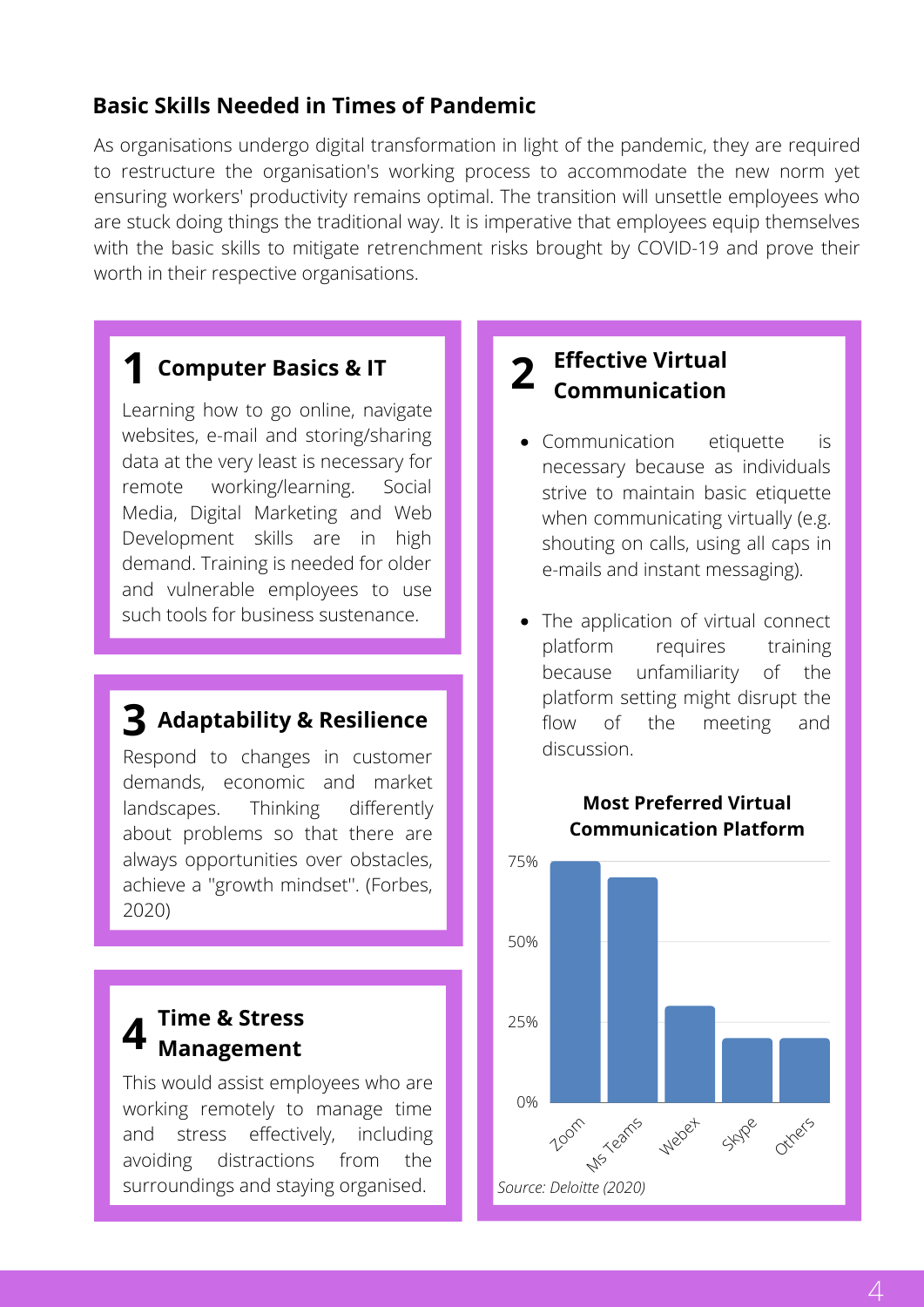## **Basic Skills Needed in Times of Pandemic**

As organisations undergo digital transformation in light of the pandemic, they are required to restructure the organisation's working process to accommodate the new norm yet ensuring workers' productivity remains optimal. The transition will unsettle employees who are stuck doing things the traditional way. It is imperative that employees equip themselves with the basic skills to mitigate retrenchment risks brought by COVID-19 and prove their worth in their respective organisations.

# **1 Computer Basics & IT**

Learning how to go online, navigate websites, e-mail and storing/sharing data at the very least is necessary for remote working/learning. Social Media, Digital Marketing and Web Development skills are in high demand. Training is needed for older and vulnerable employees to use such tools for business sustenance.

# **3 Adaptability & Resilience**

Respond to changes in customer demands, economic and market landscapes. Thinking differently about problems so that there are always opportunities over obstacles, achieve a ''growth mindset''. (Forbes, 2020)

#### **4 Time & Stress Management**

This would assist employees who are working remotely to manage time and stress effectively, including avoiding distractions from the surroundings and staying organised.

# **Effective Virtual 2 Communication**

- Communication etiquette is necessary because as individuals strive to maintain basic etiquette when communicating virtually (e.g. shouting on calls, using all caps in e-mails and instant messaging).
- The application of virtual connect platform requires training because unfamiliarity of the platform setting might disrupt the flow of the meeting and discussion.



### **Most Preferred Virtual Communication Platform**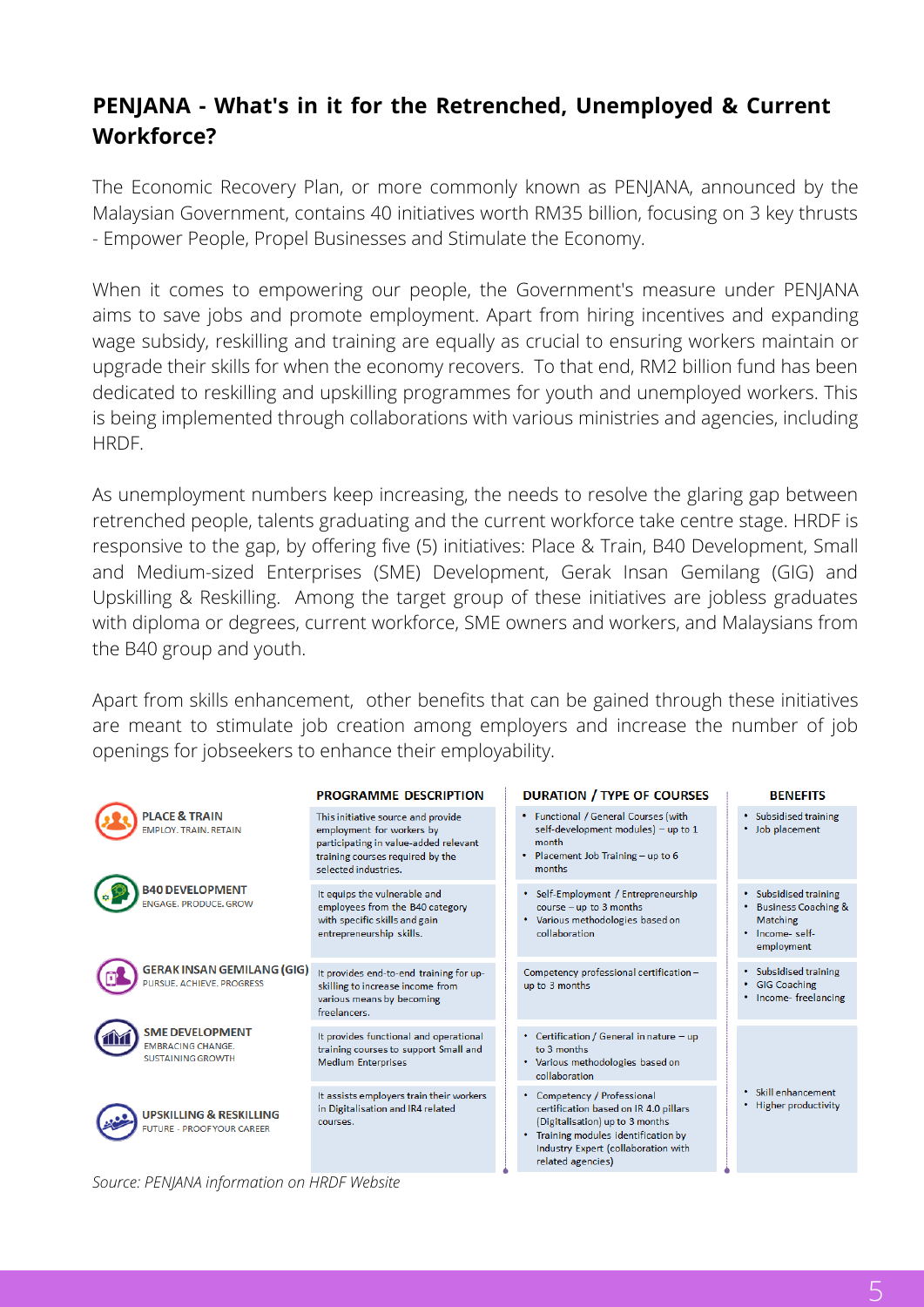# **PENJANA - What's in it for the Retrenched, Unemployed & Current Workforce?**

The Economic Recovery Plan, or more commonly known as PENJANA, announced by the Malaysian Government, contains 40 initiatives worth RM35 billion, focusing on 3 key thrusts - Empower People, Propel Businesses and Stimulate the Economy.

When it comes to empowering our people, the Government's measure under PENJANA aims to save jobs and promote employment. Apart from hiring incentives and expanding wage subsidy, reskilling and training are equally as crucial to ensuring workers maintain or upgrade their skills for when the economy recovers. To that end, RM2 billion fund has been dedicated to reskilling and upskilling programmes for youth and unemployed workers. This is being implemented through collaborations with various ministries and agencies, including HRDF.

As unemployment numbers keep increasing, the needs to resolve the glaring gap between retrenched people, talents graduating and the current workforce take centre stage. HRDF is responsive to the gap, by offering five (5) initiatives: Place & Train, B40 Development, Small and Medium-sized Enterprises (SME) Development, Gerak Insan Gemilang (GIG) and Upskilling & Reskilling. Among the target group of these initiatives are jobless graduates with diploma or degrees, current workforce, SME owners and workers, and Malaysians from the B40 group and youth.

Apart from skills enhancement, other benefits that can be gained through these initiatives are meant to stimulate job creation among employers and increase the number of job openings for jobseekers to enhance their employability.

|                                                                                | <b>PROGRAMME DESCRIPTION</b>                                                                                                                                         | <b>DURATION / TYPE OF COURSES</b>                                                                                                                                                                           | <b>BENEFITS</b>                                                                                      |
|--------------------------------------------------------------------------------|----------------------------------------------------------------------------------------------------------------------------------------------------------------------|-------------------------------------------------------------------------------------------------------------------------------------------------------------------------------------------------------------|------------------------------------------------------------------------------------------------------|
| <b>PLACE &amp; TRAIN</b><br><b>EMPLOY, TRAIN, RETAIN</b>                       | This initiative source and provide<br>employment for workers by<br>participating in value-added relevant<br>training courses required by the<br>selected industries. | • Functional / General Courses (with<br>self-development modules) - up to 1<br>month<br>Placement Job Training - up to 6<br>months                                                                          | • Subsidised training<br>Job placement<br>٠                                                          |
| <b>B40 DEVELOPMENT</b><br>ENGAGE, PRODUCE, GROW                                | It equips the vulnerable and<br>employees from the B40 category<br>with specific skills and gain<br>entrepreneurship skills.                                         | • Self-Employment / Entrepreneurship<br>course $-$ up to 3 months<br>• Various methodologies based on<br>collaboration                                                                                      | • Subsidised training<br><b>Business Coaching &amp;</b><br>Matching<br>· Income- self-<br>employment |
| <b>GERAK INSAN GEMILANG (GIG)</b><br>PURSUE. ACHIEVE. PROGRESS                 | It provides end-to-end training for up-<br>skilling to increase income from<br>various means by becoming<br>freelancers.                                             | Competency professional certification-<br>up to 3 months                                                                                                                                                    | Subsidised training<br>٠<br><b>GIG Coaching</b><br>٠<br>Income-freelancing<br>٠                      |
| <b>SME DEVELOPMENT</b><br><b>EMBRACING CHANGE.</b><br><b>SUSTAINING GROWTH</b> | It provides functional and operational<br>training courses to support Small and<br><b>Medium Enterprises</b>                                                         | • Certification / General in nature - up<br>to 3 months<br>• Various methodologies based on<br>collaboration                                                                                                |                                                                                                      |
| <b>UPSKILLING &amp; RESKILLING</b><br><b>UTURE - PROOF YOUR CAREER</b>         | It assists employers train their workers<br>in Digitalisation and IR4 related<br>courses.                                                                            | • Competency / Professional<br>certification based on IR 4.0 pillars<br>(Digitalisation) up to 3 months<br>• Training modules identification by<br>Industry Expert (collaboration with<br>related agencies) | Skill enhancement<br>٠<br><b>Higher productivity</b>                                                 |

*Source: PENJANA information on HRDF Website*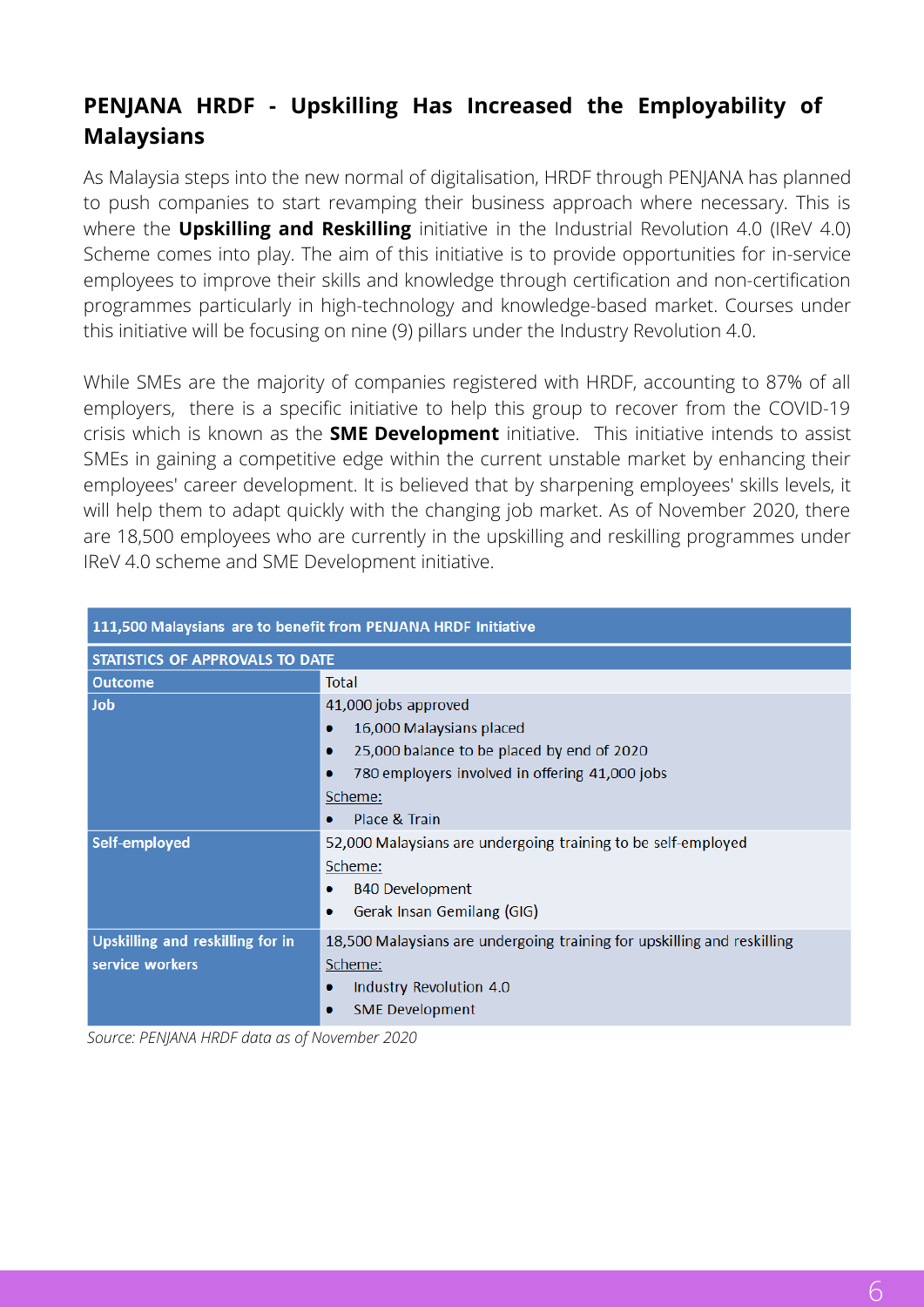# **PENJANA HRDF - Upskilling Has Increased the Employability of Malaysians**

As Malaysia steps into the new normal of digitalisation, HRDF through PENJANA has planned to push companies to start revamping their business approach where necessary. This is where the **Upskilling and Reskilling** initiative in the Industrial Revolution 4.0 (IReV 4.0) Scheme comes into play. The aim of this initiative is to provide opportunities for in-service employees to improve their skills and knowledge through certification and non-certification programmes particularly in high-technology and knowledge-based market. Courses under this initiative will be focusing on nine (9) pillars under the Industry Revolution 4.0.

While SMEs are the majority of companies registered with HRDF, accounting to 87% of all employers, there is a specific initiative to help this group to recover from the COVID-19 crisis which is known as the **SME Development** initiative. This initiative intends to assist SMEs in gaining a competitive edge within the current unstable market by enhancing their employees' career development. It is believed that by sharpening employees' skills levels, it will help them to adapt quickly with the changing job market. As of November 2020, there are 18,500 employees who are currently in the upskilling and reskilling programmes under IReV 4.0 scheme and SME Development initiative.

| 111,500 Malaysians are to benefit from PENJANA HRDF Initiative |                                                                         |  |  |
|----------------------------------------------------------------|-------------------------------------------------------------------------|--|--|
| STATISTICS OF APPROVALS TO DATE                                |                                                                         |  |  |
| <b>Outcome</b>                                                 | Total                                                                   |  |  |
| <b>Job</b>                                                     | 41,000 jobs approved                                                    |  |  |
|                                                                | 16,000 Malaysians placed<br>۰                                           |  |  |
|                                                                | 25,000 balance to be placed by end of 2020<br>۰                         |  |  |
|                                                                | 780 employers involved in offering 41,000 jobs                          |  |  |
|                                                                | Scheme:                                                                 |  |  |
|                                                                | Place & Train                                                           |  |  |
| Self-employed                                                  | 52,000 Malaysians are undergoing training to be self-employed           |  |  |
|                                                                | Scheme:                                                                 |  |  |
|                                                                | <b>B40 Development</b>                                                  |  |  |
|                                                                | Gerak Insan Gemilang (GIG)                                              |  |  |
| Upskilling and reskilling for in                               | 18,500 Malaysians are undergoing training for upskilling and reskilling |  |  |
| service workers                                                | Scheme:                                                                 |  |  |
|                                                                | Industry Revolution 4.0                                                 |  |  |
|                                                                | <b>SME Development</b>                                                  |  |  |

*Source: PENJANA HRDF data as of November 2020*